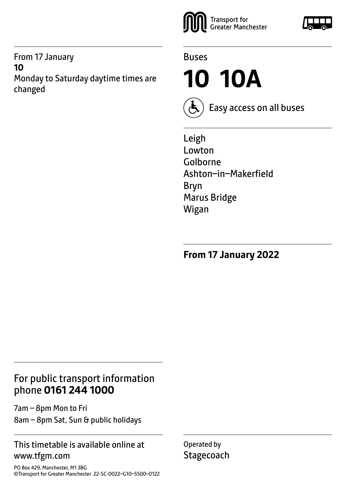From 17 January **10** Monday to Saturday daytime times are changed





**10 10A**



Easy access on all buses

Leigh Lowton Golborne Ashton–in–Makerfield Bryn Marus Bridge Wigan

**From 17 January 2022**

### For public transport information phone **0161 244 1000**

7am – 8pm Mon to Fri 8am – 8pm Sat, Sun & public holidays

#### This timetable is available online at www.tfgm.com

PO Box 429, Manchester, M1 3BG ©Transport for Greater Manchester 22-SC-0022–G10–5500–0122 Operated by **Stagecoach** 

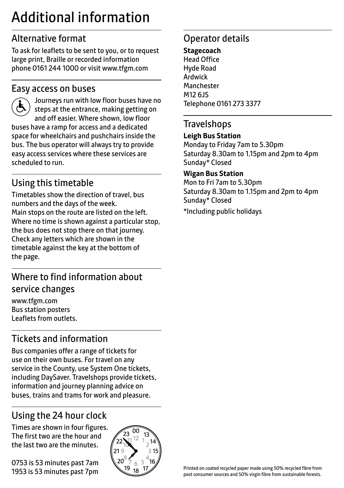# Additional information

## Alternative format

To ask for leaflets to be sent to you, or to request large print, Braille or recorded information phone 0161 244 1000 or visit www.tfgm.com

#### Easy access on buses



 Journeys run with low floor buses have no steps at the entrance, making getting on and off easier. Where shown, low floor buses have a ramp for access and a dedicated space for wheelchairs and pushchairs inside the bus. The bus operator will always try to provide easy access services where these services are scheduled to run.

# Using this timetable

Timetables show the direction of travel, bus numbers and the days of the week. Main stops on the route are listed on the left. Where no time is shown against a particular stop, the bus does not stop there on that journey. Check any letters which are shown in the timetable against the key at the bottom of the page.

## Where to find information about service changes

www.tfgm.com Bus station posters Leaflets from outlets.

# Tickets and information

Bus companies offer a range of tickets for use on their own buses. For travel on any service in the County, use System One tickets, including DaySaver. Travelshops provide tickets, information and journey planning advice on buses, trains and trams for work and pleasure.

# Using the 24 hour clock

Times are shown in four figures. The first two are the hour and the last two are the minutes.

0753 is 53 minutes past 7am 1953 is 53 minutes past 7pm



## Operator details

**Stagecoach** Head Office Hyde Road Ardwick **Manchester** M12 6JS Telephone 0161 273 3377

#### **Travelshops**

#### **Leigh Bus Station**

Monday to Friday 7am to 5.30pm Saturday 8.30am to 1.15pm and 2pm to 4pm Sunday\* Closed

#### **Wigan Bus Station**

Mon to Fri 7am to 5.30pm Saturday 8.30am to 1.15pm and 2pm to 4pm Sunday\* Closed

\*Including public holidays

Printed on coated recycled paper made using 50% recycled fibre from post consumer sources and 50% virgin fibre from sustainable forests.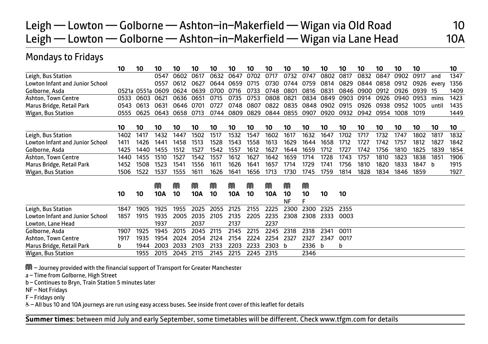# Leigh — Lowton — Golborne — Ashton-in-Makerfield — Wigan via Old Road 10 Leigh — Lowton — Golborne — Ashton-in-Makerfield — Wigan via Lane Head 10A

#### Mondays to Fridays

|                                        | 10    | 10         | 10         | 10   | 10         | 10   | 10   | 10   | 10         | 10              | 10      | 10   | 10   | 10   | 10   | 10   | 10   |       | 10   |
|----------------------------------------|-------|------------|------------|------|------------|------|------|------|------------|-----------------|---------|------|------|------|------|------|------|-------|------|
| Leigh, Bus Station                     |       |            | 0547       | 0602 | 0617       | 0632 | 0647 | 0702 | 0717       | 0732            | 0747    | 0802 | 0817 | 0832 | 0847 | 0902 | 0917 | and   | 1347 |
| Lowton Infant and Junior School        |       |            | 0557       | 0612 | 0627       | 0644 | 0659 | 0715 | 0730       | 0744            | 0759    | 0814 | 0829 | 0844 | 0858 | 0912 | 0926 | every | 1356 |
| Golborne, Asda                         | 0521a | 0551a 0609 |            | 0624 | 0639       | 0700 | 0716 | 0733 | 0748       | 0801            | 0816    | 0831 | 0846 | 0900 | 0912 | 0926 | 0939 | 15    | 1409 |
| Ashton, Town Centre                    | 0533  | 0603       | 0621       | 0636 | 0651       | 0715 | 0735 | 0753 | 0808       | 0821            | 0834    | 0849 | 0903 | 0914 | 0926 | 0940 | 0953 | mins  | 1423 |
| Marus Bridge, Retail Park              | 0543  | 0613       | 0631       | 0646 | 0701       | 0727 | 0748 | 0807 | 0822       | 0835            | 0848    | 0902 | 0915 | 0926 | 0938 | 0952 | 1005 | until | 1435 |
| Wigan, Bus Station                     | 0555  | 0625       | 0643       | 0658 | 0713       | 0744 | 0809 | 0829 | 0844       | 0855            | 0907    | 0920 | 0932 | 0942 | 0954 | 1008 | 1019 |       | 1449 |
|                                        | 10    | 10         | 10         | 10   | 10         | 10   | 10   | 10   | 10         | 10              | 10      | 10   | 10   | 10   | 10   | 10   | 10   | 10    | 10   |
| Leigh, Bus Station                     | 1402  | 1417       | 1432       | 1447 | 1502       | 1517 | 1532 | 1547 | 1602       | 1617            | 1632    | 1647 | 1702 | 1717 | 1732 | 1747 | 1802 | 1817  | 1832 |
| <b>Lowton Infant and Junior School</b> | 1411  | 1426       | 1441       | 1458 | 1513       | 1528 | 1543 | 1558 | 1613       | 1629            | 1644    | 1658 | 1712 | 1727 | 1742 | 1757 | 1812 | 1827  | 1842 |
| Golborne, Asda                         | 1425  | 1440       | 1455       | 1512 | 1527       | 1542 | 1557 | 1612 | 1627       | 1644            | 1659    | 1712 | 1727 | 1742 | 1756 | 1810 | 1825 | 1839  | 1854 |
| Ashton, Town Centre                    | 1440  | 1455       | 1510       | 1527 | 1542       | 1557 | 1612 | 1627 | 1642       | 1659            | 1714    | 1728 | 1743 | 1757 | 1810 | 1823 | 1838 | 1851  | 1906 |
| Marus Bridge, Retail Park              | 1452  | 1508       | 1523       | 1541 | 1556       | 1611 | 1626 | 1641 | 1657       | 1714            | 1729    | 1741 | 1756 | 1810 | 1820 | 1833 | 1847 | b     | 1915 |
| Wigan, Bus Station                     | 1506  | 1522       | 1537       | 1555 | 1611       | 1626 | 1641 | 1656 | 1713       | 1730            | 1745    | 1759 | 1814 | 1828 | 1834 | 1846 | 1859 |       | 1927 |
|                                        |       |            | M          | M    | M          | M    | M    | M    | M          | M               | M       |      |      |      |      |      |      |       |      |
|                                        | 10    | 10         | <b>10A</b> | 10   | <b>10A</b> | 10   | 10A  | 10   | <b>10A</b> | 10<br><b>NF</b> | 10<br>Е | 10   | 10   |      |      |      |      |       |      |
| Leigh, Bus Station                     | 1847  | 1905       | 1925       | 1955 | 2025       | 2055 | 2125 | 2155 | 2225       | 2300            | 2300    | 2325 | 2355 |      |      |      |      |       |      |
| <b>Lowton Infant and Junior School</b> | 1857  | 1915       | 1935       | 2005 | 2035       | 2105 | 2135 | 2205 | 2235       | 2308            | 2308    | 2333 | 0003 |      |      |      |      |       |      |
| Lowton, Lane Head                      |       |            | 1937       |      | 2037       |      | 2137 |      | 2237       |                 |         |      |      |      |      |      |      |       |      |
| Golborne, Asda                         | 1907  | 1925       | 1945       | 2015 | 2045       | 2115 | 2145 | 2215 | 2245       | 2318            | 2318    | 2341 | 0011 |      |      |      |      |       |      |
| Ashton, Town Centre                    | 1917  | 1935       | 1954       | 2024 | 2054       | 2124 | 2154 | 2224 | 2254       | 2327            | 2327    | 2347 | 0017 |      |      |      |      |       |      |
| Marus Bridge, Retail Park              | b     | 1944       | 2003       | 2033 | 2103       | 2133 | 2203 | 2233 | 2303       | b               | 2336    | b    | b    |      |      |      |      |       |      |
| Wigan, Bus Station                     |       | 1955       | 2015       | 2045 | 2115       | 2145 | 2215 | 2245 | 2315       |                 | 2346    |      |      |      |      |      |      |       |      |

M – Journey provided with the financial support of Transport for Greater Manchester

a – Time from Golborne, High Street

b – Continues to Bryn, Train Station 5 minutes later

NF – Not Fridays

F – Fridays only

W– All bus 10 and 10A journeys are run using easy access buses. See inside front cover of this leaflet for details

 $\overline{a}$ **Summer times**: between mid July and early September, some timetables will be different. Check www.tfgm.com for details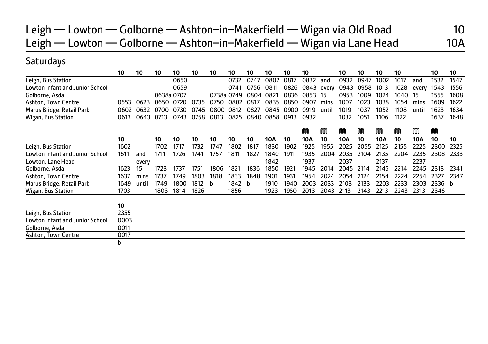## Leigh — Lowton — Golborne — Ashton-in-Makerfield — Wigan via Old Road 10 Leigh — Lowton — Golborne — Ashton-in-Makerfield — Wigan via Lane Head 10A

#### **Saturdays**

|                                        | 10   | 10    | 10   | 10         | 10   | 10   | 10         | 10   | 10   | 10   | 10   |       | 10   | 10   | 10   | 10   |       | 10   | 10   |
|----------------------------------------|------|-------|------|------------|------|------|------------|------|------|------|------|-------|------|------|------|------|-------|------|------|
| Leigh, Bus Station                     |      |       |      | 0650       |      |      | 0732       | 0747 | 0802 | 0817 | 0832 | and   | 0932 | 0947 | 1002 | 1017 | and   | 1532 | 1547 |
| Lowton Infant and Junior School        |      |       |      | 0659       |      |      | 0741       | 0756 | 0811 | 0826 | 0843 | every | 0943 | 0958 | 1013 | 1028 | every | 1543 | 1556 |
| Golborne, Asda                         |      |       |      | 0638a 0707 |      |      | 0738a 0749 | 0804 | 0821 | 0836 | 0853 | 15    | 0953 | 1009 | 1024 | 1040 | 15    | 1555 | 1608 |
| <b>Ashton, Town Centre</b>             | 0553 | 0623  | 0650 | 0720       | 0735 | 0750 | 0802       | 0817 | 0835 | 0850 | 0907 | mins  | 1007 | 1023 | 1038 | 1054 | mins  | 1609 | 1622 |
| Marus Bridge, Retail Park              | 0602 | 0632  | 0700 | 0730       | 0745 | 0800 | 0812       | 0827 | 0845 | 0900 | 0919 | until | 1019 | 1037 | 1052 | 1108 | until | 1623 | 1634 |
| Wigan, Bus Station                     | 0613 | 0643  | 0713 | 0743       | 0758 | 0813 | 0825       | 0840 | 0858 | 0913 | 0932 |       | 1032 | 1051 | 1106 | 1122 |       | 1637 | 1648 |
|                                        |      |       |      |            |      |      |            |      |      |      | M    | M     | M    | m    | m    | M    | m     | M    |      |
|                                        | 10   |       | 10   | 10         | 10   | 10   | 10         | 10   | 10A  | 10   | 10A  | 10    | 10A  | 10   | 10A  | 10   | 10A   | 10   | 10   |
| Leigh, Bus Station                     | 1602 |       | 1702 | 1717       | 1732 | 1747 | 1802       | 1817 | 1830 | 1902 | 1925 | 1955  | 2025 | 2055 | 2125 | 2155 | 2225  | 2300 | 2325 |
| <b>Lowton Infant and Junior School</b> | 1611 | and   | 1711 | 1726       | 1741 | 1757 | 1811       | 1827 | 1840 | 1911 | 1935 | 2004  | 2035 | 2104 | 2135 | 2204 | 2235  | 2308 | 2333 |
| Lowton, Lane Head                      |      | every |      |            |      |      |            |      | 1842 |      | 1937 |       | 2037 |      | 2137 |      | 2237  |      |      |
| Golborne, Asda                         | 1623 | 15    | 1723 | 1737       | 1751 | 1806 | 1821       | 1836 | 1850 | 1921 | 1945 | 2014  | 2045 | 2114 | 2145 | 2214 | 2245  | 2318 | 2341 |
| <b>Ashton, Town Centre</b>             | 1637 | mins  | 1737 | 1749       | 1803 | 1818 | 1833       | 1848 | 1901 | 1931 | 1954 | 2024  | 2054 | 2124 | 2154 | 2224 | 2254  | 2327 | 2347 |
| Marus Bridge, Retail Park              | 1649 | until | 1749 | 1800       | 1812 | b    | 1842       | h    | 1910 | 1940 | 2003 | 2033  | 2103 | 2133 | 2203 | 2233 | 2303  | 2336 | b    |
| Wigan, Bus Station                     | 1703 |       | 1803 | 1814       | 1826 |      | 1856       |      | 1923 | 1950 | 2013 | 2043  | 2113 | 2143 | 2213 | 2243 | 2313  | 2346 |      |
|                                        | 10   |       |      |            |      |      |            |      |      |      |      |       |      |      |      |      |       |      |      |
| Leigh, Bus Station                     | 2355 |       |      |            |      |      |            |      |      |      |      |       |      |      |      |      |       |      |      |
| <b>Lowton Infant and Junior School</b> | 0003 |       |      |            |      |      |            |      |      |      |      |       |      |      |      |      |       |      |      |
| Golborne, Asda                         | 0011 |       |      |            |      |      |            |      |      |      |      |       |      |      |      |      |       |      |      |
| Ashton, Town Centre                    | 0017 |       |      |            |      |      |            |      |      |      |      |       |      |      |      |      |       |      |      |
|                                        | b    |       |      |            |      |      |            |      |      |      |      |       |      |      |      |      |       |      |      |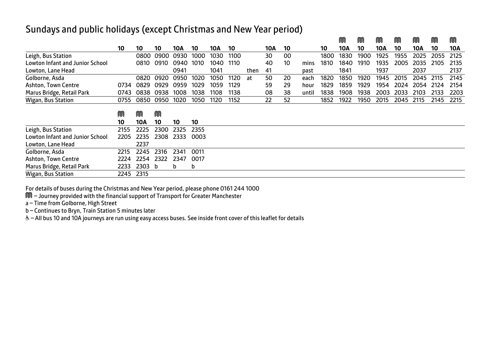#### Sundays and public holidays (except Christmas and New Year period)

|                                        |      |      |      |      |      |      |      |      |     |    |       |      | M    | M    | M    | M    | M    | M    | M    |
|----------------------------------------|------|------|------|------|------|------|------|------|-----|----|-------|------|------|------|------|------|------|------|------|
|                                        | 10   | 10   | 10   | 10A  | 10   | 10A  | 10   |      | 10A | 10 |       | 10   | 10A  | 10   | 10A  | 10   | 10A  | 10   | 10A  |
| Leigh, Bus Station                     |      | 0800 | 0900 | 0930 | 1000 | 1030 | 1100 |      | 30  | 00 |       | 1800 | 1830 | 1900 | 1925 | 1955 | 2025 | 2055 | 2125 |
| <b>Lowton Infant and Junior School</b> |      | 0810 | 0910 | 0940 | 1010 | 1040 | 1110 |      | 40  | 10 | mins  | 1810 | 1840 | 1910 | 1935 | 2005 | 2035 | 2105 | 2135 |
| Lowton, Lane Head                      |      |      |      | 0941 |      | 1041 |      | then | 41  |    | past  |      | 1841 |      | 1937 |      | 2037 |      | 2137 |
| Golborne, Asda                         |      | 0820 | 0920 | 0950 | 1020 | 1050 | 1120 | at   | 50  | 20 | each  | 1820 | 1850 | 1920 | 1945 | 2015 | 2045 | 2115 | 2145 |
| Ashton, Town Centre                    | 0734 | 0829 | 0929 | 0959 | 1029 | 1059 | 1129 |      | 59  | 29 | hour  | 1829 | 1859 | 1929 | 1954 | 2024 | 2054 | 2124 | 2154 |
| Marus Bridge, Retail Park              | 0743 | 0838 | 0938 | 1008 | 1038 | 1108 | 1138 |      | 08  | 38 | until | 1838 | 1908 | 1938 | 2003 | 2033 | 2103 | 2133 | 2203 |
| Wigan, Bus Station                     | 0755 | 0850 | 0950 | 1020 | 1050 | 1120 | 1152 |      | 22  | 52 |       | 1852 | 1922 | 1950 | 2015 | 2045 | 2115 | 2145 | 2215 |
|                                        |      |      |      |      |      |      |      |      |     |    |       |      |      |      |      |      |      |      |      |
|                                        | M    | M    | M    |      |      |      |      |      |     |    |       |      |      |      |      |      |      |      |      |
|                                        | 10   | 10A  | 10   | 10   | 10   |      |      |      |     |    |       |      |      |      |      |      |      |      |      |
| Leigh, Bus Station                     | 2155 | 2225 | 2300 | 2325 | 2355 |      |      |      |     |    |       |      |      |      |      |      |      |      |      |
| <b>Lowton Infant and Junior School</b> | 2205 | 2235 | 2308 | 2333 | 0003 |      |      |      |     |    |       |      |      |      |      |      |      |      |      |
| Lowton, Lane Head                      |      | 2237 |      |      |      |      |      |      |     |    |       |      |      |      |      |      |      |      |      |
| Golborne, Asda                         | 2215 | 2245 | 2316 | 2341 | 0011 |      |      |      |     |    |       |      |      |      |      |      |      |      |      |
| Ashton, Town Centre                    | 2224 | 2254 | 2322 | 2347 | 0017 |      |      |      |     |    |       |      |      |      |      |      |      |      |      |
| Marus Bridge, Retail Park              | 2233 | 2303 | b    | b    | b    |      |      |      |     |    |       |      |      |      |      |      |      |      |      |
| Wigan, Bus Station                     | 2245 | 2315 |      |      |      |      |      |      |     |    |       |      |      |      |      |      |      |      |      |

For details of buses during the Christmas and New Year period, please phone 0161 244 1000

M – Journey provided with the financial support of Transport for Greater Manchester

a – Time from Golborne, High Street

b – Continues to Bryn, Train Station 5 minutes later

& - All bus 10 and 10A journeys are run using easy access buses. See inside front cover of this leaflet for details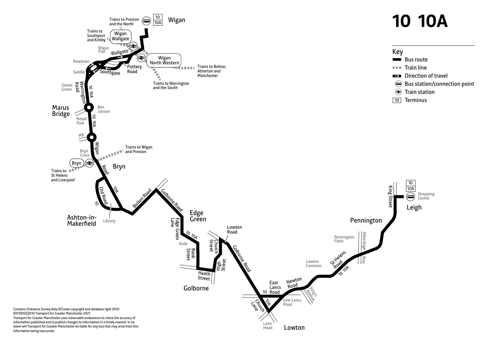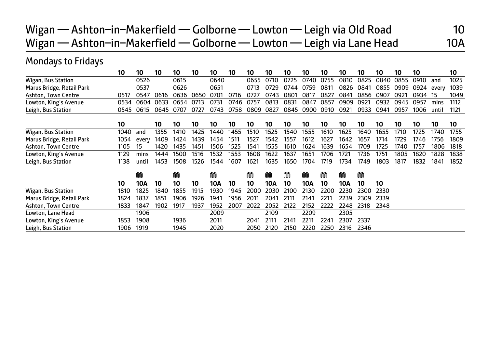Wigan — Ashton-in-Makerfield — Golborne — Lowton — Leigh via Old Road 10 Wigan — Ashton-in-Makerfield — Golborne — Lowton — Leigh via Lane Head 10A

#### Mondays to Fridays

|                           | 10   | 10    | 10   | 10   | 10   | 10   | 10   | 10   | 10   | 10   | 10   | 10   | 10   | 10   | 10   | 10   | 10   |       | 10   |
|---------------------------|------|-------|------|------|------|------|------|------|------|------|------|------|------|------|------|------|------|-------|------|
| Wigan, Bus Station        |      | 0526  |      | 0615 |      | 0640 |      | 0655 | 0710 | 0725 | 0740 | 0755 | 0810 | 0825 | 0840 | 0855 | 0910 | and   | 1025 |
| Marus Bridge, Retail Park |      | 0537  |      | 0626 |      | 0651 |      | 0713 | 0729 | 0744 | 0759 | 0811 | 0826 | 0841 | 0855 | 0909 | 0924 | every | 1039 |
| Ashton, Town Centre       | 0517 | 0547  | 0616 | 0636 | 0650 | 0701 | 0716 | 0727 | 0743 | 0801 | 0817 | 0827 | 0841 | 0856 | 0907 | 0921 | 0934 | -15   | 1049 |
| Lowton, King's Avenue     | 0534 | 0604  | 0633 | 0654 | 0713 | 0731 | 0746 | 0757 | 0813 | 0831 | 0847 | 0857 | 0909 | 0921 | 0932 | 0945 | 0957 | mins  | 1112 |
| Leigh, Bus Station        | 0545 | 0615  | 0645 | 0707 | 0727 | 0743 | 0758 | 0809 | 0827 | 0845 | 0900 | 0910 | 0921 | 0933 | 0941 | 0957 | 1006 | until | 1121 |
|                           | 10   |       | 10   | 10   | 10   | 10   | 10   | 10   | 10   | 10   | 10   | 10   | 10   | 10   | 10   | 10   | 10   | 10    | 10   |
| Wigan, Bus Station        | 1040 | and   | 1355 | 1410 | 1425 | 1440 | 1455 | 1510 | 1525 | 1540 | 1555 | 1610 | 1625 | 1640 | 1655 | 1710 | 1725 | 1740  | 1755 |
| Marus Bridge, Retail Park | 1054 | every | 1409 | 1424 | 1439 | 1454 | 1511 | 1527 | 1542 | 1557 | 1612 | 1627 | 1642 | 1657 | 1714 | 1729 | 1746 | 1756  | 1809 |
| Ashton, Town Centre       | 1105 | 15    | 1420 | 1435 | 1451 | 1506 | 1525 | 1541 | 1555 | 1610 | 1624 | 1639 | 1654 | 1709 | 1725 | 1740 | 1757 | 1806  | 1818 |
| Lowton, King's Avenue     | 1129 | mins  | 1444 | 1500 | 1516 | 1532 | 1553 | 1608 | 1622 | 1637 | 1651 | 1706 | 1721 | 1736 | 1751 | 1805 | 1820 | 1828  | 1838 |
| Leigh, Bus Station        | 1138 | until | 1453 | 1508 | 1526 | 1544 | 1607 | 1621 | 1635 | 1650 | 1704 | 1719 | 1734 | 1749 | 1803 | 1817 | 1832 | 1841  | 1852 |
|                           |      | M     |      | M    |      | M    |      | M    | M    | M    | m    | M    | M    | M    |      |      |      |       |      |
|                           | 10   | 10A   | 10   | 10   | 10   | 10A  | 10   | 10   | 10A  | 10   | 10A  | 10   | 10A  | 10   | 10   |      |      |       |      |
| Wigan, Bus Station        | 1810 | 1825  | 1840 | 1855 | 1915 | 1930 | 1945 | 2000 | 2030 | 2100 | 2130 | 2200 | 2230 | 2300 | 2330 |      |      |       |      |
| Marus Bridge, Retail Park | 1824 | 1837  | 1851 | 1906 | 1926 | 1941 | 1956 | 2011 | 2041 | 2111 | 2141 | 2211 | 2239 | 2309 | 2339 |      |      |       |      |
| Ashton, Town Centre       | 1833 | 1847  | 1902 | 1917 | 1937 | 1952 | 2007 | 2022 | 2052 | 2122 | 2152 | 2222 | 2248 | 2318 | 2348 |      |      |       |      |
| Lowton, Lane Head         |      | 1906  |      |      |      | 2009 |      |      | 2109 |      | 2209 |      | 2305 |      |      |      |      |       |      |
| Lowton, King's Avenue     | 1853 | 1908  |      | 1936 |      | 2011 |      | 2041 | 2111 | 2141 | 2211 | 2241 | 2307 | 2337 |      |      |      |       |      |
| Leigh, Bus Station        | 1906 | 1919  |      | 1945 |      | 2020 |      | 2050 | 2120 | 2150 | 2220 | 2250 | 2316 | 2346 |      |      |      |       |      |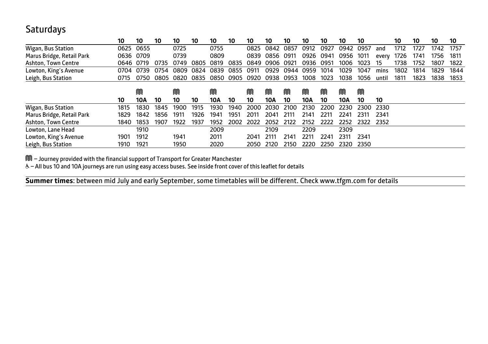#### **Saturdays**

|                            | 10   | 10        | 10   | 10   | 10   | 10   | 10   | 10   | 10   | 10   | 10   | 10   | 10   | 10   |       | 10   | 10   | 10   | 10   |
|----------------------------|------|-----------|------|------|------|------|------|------|------|------|------|------|------|------|-------|------|------|------|------|
| Wigan, Bus Station         | 0625 | 0655      |      | 0725 |      | 0755 |      | 0825 | 0842 | 0857 | 0912 | 0927 | 0942 | 0957 | and   | 1712 | 1727 | 1742 | 1757 |
| Marus Bridge, Retail Park  | 0636 | 0709      |      | 0739 |      | 0809 |      | 0839 | 0856 | 0911 | 0926 | 0941 | 0956 | 1011 | every | 1726 | 1741 | 1756 | 1811 |
| <b>Ashton, Town Centre</b> |      | 0646 0719 | 0735 | 0749 | 0805 | 0819 | 0835 | 0849 | 0906 | 0921 | 0936 | 0951 | 1006 | 1023 | כו    | 1738 | 1752 | 1807 | 1822 |
| Lowton, King's Avenue      | 0704 | 0739      | 0754 | 0809 | 0824 | 0839 | 0855 | 0911 | 0929 | 0944 | 0959 | 1014 | 1029 | 1047 | mins  | 1802 | 1814 | 1829 | 1844 |
| Leigh, Bus Station         | 0715 | 0750      | 0805 | 0820 | 0835 | 0850 | 0905 | 0920 | 0938 | 0953 | 1008 | 1023 | 1038 | 1056 | until | 1811 | 1823 | 1838 | 1853 |
|                            |      | M         |      | M    |      | M    |      | M    | M    | M    | M    | M    | M    | M    |       |      |      |      |      |
|                            | 10   | 10A       | 10   | 10   | 10   | 10A  | 10   | 10   | 10A  | 10   | 10A  | 10   | 10A  | 10   | 10    |      |      |      |      |
| Wigan, Bus Station         | 1815 | 1830      | 1845 | 1900 | 1915 | 1930 | 1940 | 2000 | 2030 | 2100 | 2130 | 2200 | 2230 | 2300 | 2330  |      |      |      |      |
| Marus Bridge, Retail Park  | 1829 | 1842      | 1856 | 1911 | 1926 | 1941 | 1951 | 2011 | 2041 | 2111 | 2141 | 2211 | 2241 | 2311 | 2341  |      |      |      |      |
| Ashton, Town Centre        | 1840 | 1853      | 1907 | 1922 | 1937 | 1952 | 2002 | 2022 | 2052 | 2122 | 2152 | 2222 | 2252 | 2322 | 2352  |      |      |      |      |
| Lowton, Lane Head          |      | 1910      |      |      |      | 2009 |      |      | 2109 |      | 2209 |      | 2309 |      |       |      |      |      |      |
| Lowton, King's Avenue      | 1901 | 1912      |      | 1941 |      | 2011 |      | 2041 | 2111 | 2141 | 2211 | 2241 | 2311 | 2341 |       |      |      |      |      |
| Leigh, Bus Station         | 1910 | 1921      |      | 1950 |      | 2020 |      | 2050 | 2120 | 2150 | 2220 | 2250 | 2320 | 2350 |       |      |      |      |      |

M – Journey provided with the financial support of Transport for Greater Manchester

& - All bus 10 and 10A journeys are run using easy access buses. See inside front cover of this leaflet for details

 $\overline{a}$ **Summer times**: between mid July and early September, some timetables will be different. Check www.tfgm.com for details